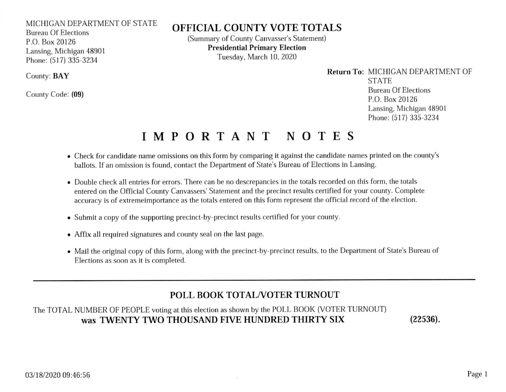#### MICHIGAN DEPARTMENT OF STATE

Bureau Of Elections P.O. Box 20126 Lansing, Michigan 48901 Phone: (517) 335-3234

County: BAY

County Code: (09)

## OFFICIAL COUNTY VOTE TOTALS

(Summary of County Canvasser's Statement) Presidential Primary Election Tuesday, March 10, 2020

> Return To: MICHIGAN DEPARTMENT OF **STATE** Bureau Of Elections P.O. Box 20126 Lansing, Michigan 48901 Phone: (517) 335-3234

# IMPORTANT NOTES

- . Check for candidate name omissions on this form by comparing it against the candidate names printed on the county's ballots. If an omission is found, contact the Department of State's Bureau of Elections in Lansing.
- o Double check all entries for errors. There can be no descrepancies in the totals recorded on this form, the totals entered on the Official County Canvassers' Statement and the precinct results certified for your county. Complete accuracy is of extremeimportance as the totals entered on this form represent the official record of the election.
- Submit a copy of the supporting precinct-by-precinct results certified for your county.
- . Affix all required signatures and county seal on the last page.
- o Mail the original copy of this form, along with the precinct-by precinct results, to the Department of State's Bureau of Elections as soon as it is completed.

### POLL BOOK TOTAL/VOTER TURNOUT

### The TOTAL NUMBER OF PEOPLE voting at this election as shown by the POLL BOOK (VOTER TURNOUT) WAS TWENTY TWO THOUSAND FIVE HUNDRED THIRTY SIX

 $(22536).$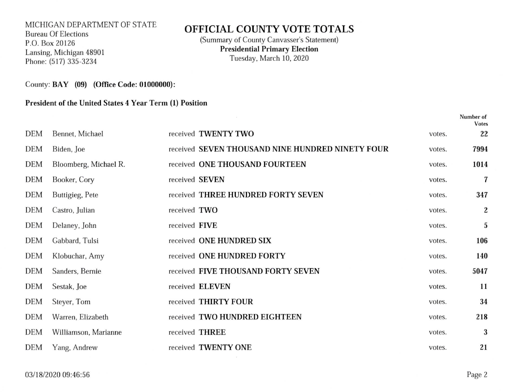### MICHIGAN DEPARTMENT OF STATE Bureau Of Elections P.O. Box 20126 Lansing, Michigan 48901 Phone: (517) 335-3234

## OFFICIAL COUNTY VOTE TOTALS

(Summary of County Canvasser's Statement) Presidential Primary Election Tuesday, March 10,2020

County: BAY (09) (Office Code: 01000000):

### President of the United States 4 Year Term (l) Position

|            |                       |                |                                                  |        | Number of<br><b>Votes</b> |
|------------|-----------------------|----------------|--------------------------------------------------|--------|---------------------------|
| DEM        | Bennet, Michael       |                | received TWENTY TWO                              | votes. | 22                        |
| <b>DEM</b> | Biden, Joe            |                | received SEVEN THOUSAND NINE HUNDRED NINETY FOUR | votes. | 7994                      |
| DEM        | Bloomberg, Michael R. |                | received ONE THOUSAND FOURTEEN                   | votes. | 1014                      |
| DEM        | Booker, Cory          | received SEVEN |                                                  | votes. | 7                         |
| DEM        | Buttigieg, Pete       |                | received THREE HUNDRED FORTY SEVEN               | votes. | 347                       |
| <b>DEM</b> | Castro, Julian        | received TWO   |                                                  | votes. | $\boldsymbol{2}$          |
| <b>DEM</b> | Delaney, John         | received FIVE  |                                                  | votes. | $\mathbf 5$               |
| DEM        | Gabbard, Tulsi        |                | received ONE HUNDRED SIX                         | votes. | 106                       |
| <b>DEM</b> | Klobuchar, Amy        |                | received ONE HUNDRED FORTY                       | votes. | 140                       |
| <b>DEM</b> | Sanders, Bernie       |                | received FIVE THOUSAND FORTY SEVEN               | votes. | 5047                      |
| <b>DEM</b> | Sestak, Joe           |                | received ELEVEN                                  | votes. | 11                        |
| <b>DEM</b> | Steyer, Tom           |                | received THIRTY FOUR                             | votes. | 34                        |
| <b>DEM</b> | Warren, Elizabeth     |                | received TWO HUNDRED EIGHTEEN                    | votes. | 218                       |
| <b>DEM</b> | Williamson, Marianne  | received THREE |                                                  | votes. | 3                         |
| <b>DEM</b> | Yang, Andrew          |                | received TWENTY ONE                              | votes. | 21                        |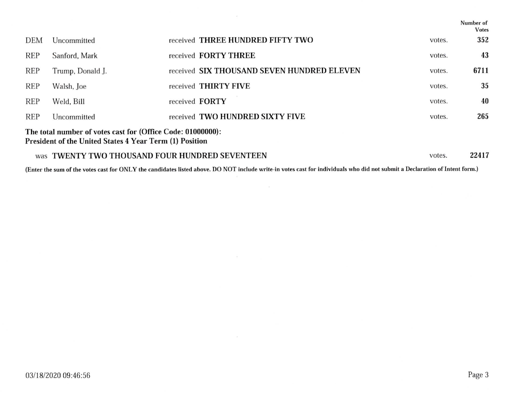|                                                                                                                        |                                                             |  |                                            |        | Number of<br><b>Votes</b> |  |
|------------------------------------------------------------------------------------------------------------------------|-------------------------------------------------------------|--|--------------------------------------------|--------|---------------------------|--|
| <b>DEM</b>                                                                                                             | Uncommitted                                                 |  | received THREE HUNDRED FIFTY TWO           | votes. | 352                       |  |
| <b>REP</b>                                                                                                             | Sanford, Mark                                               |  | received <b>FORTY THREE</b>                | votes. | 43                        |  |
| <b>REP</b>                                                                                                             | Trump, Donald J.                                            |  | received SIX THOUSAND SEVEN HUNDRED ELEVEN | votes. | 6711                      |  |
| <b>REP</b>                                                                                                             | Walsh, Joe                                                  |  | received THIRTY FIVE                       | votes. | 35                        |  |
| <b>REP</b>                                                                                                             | Weld, Bill                                                  |  | received <b>FORTY</b>                      | votes. | 40                        |  |
| <b>REP</b>                                                                                                             | Uncommitted                                                 |  | received TWO HUNDRED SIXTY FIVE            | votes. | 265                       |  |
| The total number of votes cast for (Office Code: 01000000):<br>President of the United States 4 Year Term (1) Position |                                                             |  |                                            |        |                           |  |
| was                                                                                                                    | <b>TWENTY TWO THOUSAND FOUR HUNDRED SEVENTEEN</b><br>votes. |  |                                            |        |                           |  |

 $\sim$ 

(Enter the sum of the votes cast for ONLY the candidates listed above. DO NOT include write-in votes cast for individuals who did not submit a Declaration of Intent form.)

 $\sim 10^{11}$  m  $^{-1}$  .

 $\frac{1}{2}$ 

 $\sim$ 

 $\sim 100$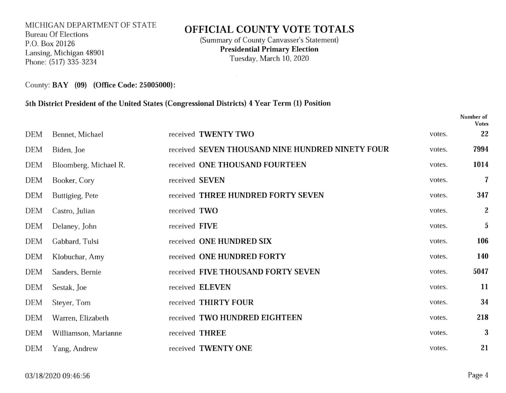### MICHICAN DEPARTMENT OF STATE Bureau Of Elections P.O. Box 20126 Lansing, Michigan 48901 Phone: (517) 335-3234

### OFFICIAL COUNTY VOTE TOTALS

(Summary of County Canvasser's Statement) Presidential Primary Election Tuesday, March 10, 2020

 $\sim$ 

County: BAY (09) (Office Code: 25005000):

#### Sth District President of the United States (Congressional Districts) 4 Year Term (l) Position

|            |                       |               |                                                  |        | Number of<br><b>Votes</b> |
|------------|-----------------------|---------------|--------------------------------------------------|--------|---------------------------|
| <b>DEM</b> | Bennet, Michael       |               | received TWENTY TWO                              | votes. | 22                        |
| <b>DEM</b> | Biden, Joe            |               | received SEVEN THOUSAND NINE HUNDRED NINETY FOUR | votes. | 7994                      |
| DEM        | Bloomberg, Michael R. |               | received ONE THOUSAND FOURTEEN                   | votes. | 1014                      |
| <b>DEM</b> | Booker, Cory          |               | received SEVEN                                   | votes. | $\boldsymbol{7}$          |
| <b>DEM</b> | Buttigieg, Pete       |               | received THREE HUNDRED FORTY SEVEN               | votes. | 347                       |
| <b>DEM</b> | Castro, Julian        | received TWO  |                                                  | votes. | $\boldsymbol{2}$          |
| <b>DEM</b> | Delaney, John         | received FIVE |                                                  | votes. | $\sqrt{5}$                |
| <b>DEM</b> | Gabbard, Tulsi        |               | received ONE HUNDRED SIX                         | votes. | 106                       |
| <b>DEM</b> | Klobuchar, Amy        |               | received ONE HUNDRED FORTY                       | votes. | 140                       |
| DEM        | Sanders, Bernie       |               | received FIVE THOUSAND FORTY SEVEN               | votes. | 5047                      |
| <b>DEM</b> | Sestak, Joe           |               | received ELEVEN                                  | votes. | 11                        |
| <b>DEM</b> | Steyer, Tom           |               | received THIRTY FOUR                             | votes. | 34                        |
| <b>DEM</b> | Warren, Elizabeth     |               | received TWO HUNDRED EIGHTEEN                    | votes. | 218                       |
| <b>DEM</b> | Williamson, Marianne  |               | received THREE                                   | votes. | 3                         |
| <b>DEM</b> | Yang, Andrew          |               | received TWENTY ONE                              | votes. | 21                        |